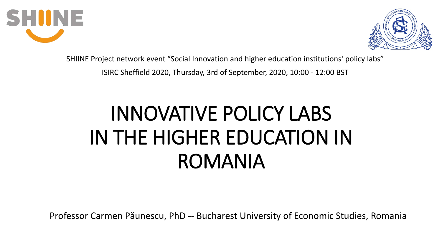



SHIINE Project network event "Social Innovation and higher education institutions' policy labs"

ISIRC Sheffield 2020, Thursday, 3rd of September, 2020, 10:00 - 12:00 BST

# INNOVATIVE POLICY LABS IN THE HIGHER EDUCATION IN ROMANIA

Professor Carmen Păunescu, PhD -- Bucharest University of Economic Studies, Romania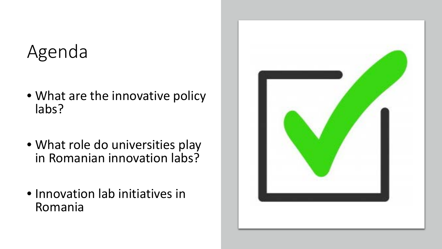### Agenda

- What are the innovative policy labs?
- What role do universities play in Romanian innovation labs?
- Innovation lab initiatives in Romania

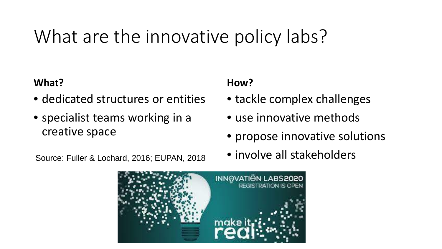## What are the innovative policy labs?

#### **What?**

- dedicated structures or entities
- specialist teams working in a creative space

#### **How?**

- tackle complex challenges
- use innovative methods
- propose innovative solutions
- 



Source: Fuller & Lochard, 2016; EUPAN, 2018 • involve all stakeholders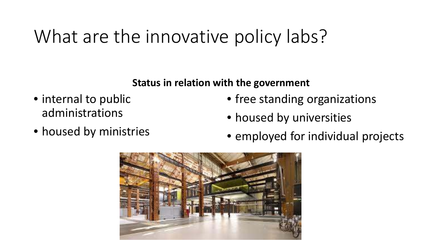## What are the innovative policy labs?

#### **Status in relation with the government**

- internal to public administrations
- housed by ministries
- free standing organizations
- housed by universities
- employed for individual projects

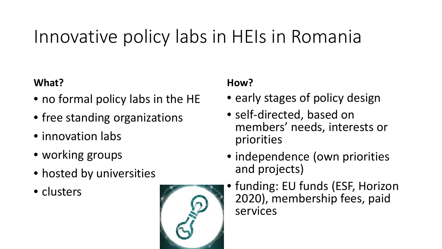### Innovative policy labs in HEIs in Romania

#### **What?**

- no formal policy labs in the HE
- free standing organizations
- innovation labs
- working groups
- hosted by universities
- clusters



#### **How?**

- early stages of policy design
- self-directed, based on members' needs, interests or priorities
- independence (own priorities and projects)
- funding: EU funds (ESF, Horizon 2020), membership fees, paid services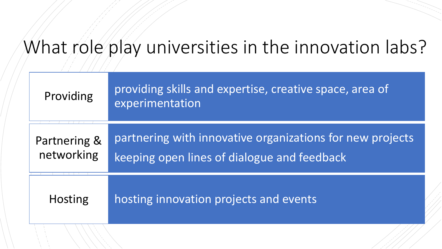### What role play universities in the innovation labs?

| Providing                  | providing skills and expertise, creative space, area of<br>experimentation                               |
|----------------------------|----------------------------------------------------------------------------------------------------------|
| Partnering &<br>networking | partnering with innovative organizations for new projects<br>keeping open lines of dialogue and feedback |
| <b>Hosting</b>             | hosting innovation projects and events                                                                   |
|                            |                                                                                                          |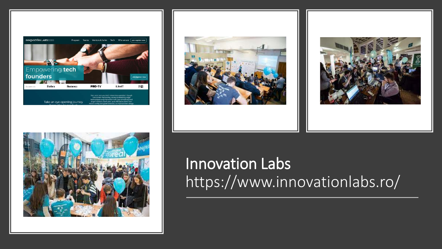







### Innovation Labs https://www.innovationlabs.ro/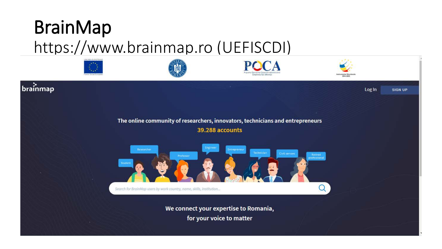## BrainMap

### https://www.brainmap.ro (UEFISCDI)

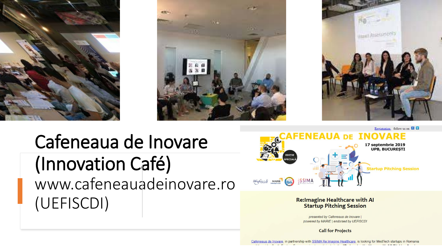





### Cafeneaua de Inovare (Innovation Café) www.cafeneauadeinovare.ro (UEFISCDI)



**Re:Imagine Healthcare with AI Startup Pitching Session** 

presented by Cafeneaua de Inovare | powered by MARIE | endorsed by UEFISCDI

**Call for Projects**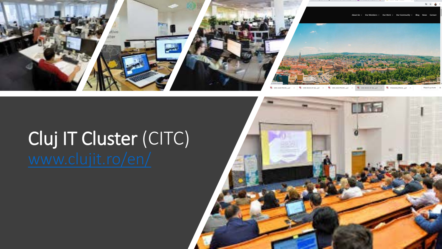

### Cluj IT Cluster (CITC) [www.clujit.ro/en/](http://www.clujit.ro/en/)